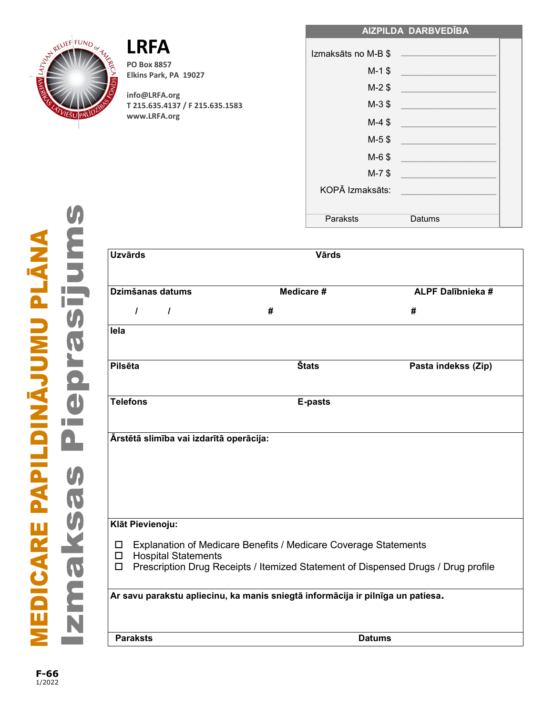RELIEF FUND or

VIEŠU PAL

**PO Box 8857 Elkins Park, PA 19027**

**info@LRFA.org T 215.635.4137 / F 215.635.1583 www.LRFA.org**

| Izmaksāts no M-B \$ | the control of the control of the control of the control of the control of the control of the control of the control of the control of the control of the control of the control of the control of the control of the control |  |
|---------------------|-------------------------------------------------------------------------------------------------------------------------------------------------------------------------------------------------------------------------------|--|
| $M-1$ \$            |                                                                                                                                                                                                                               |  |
| $M-2$ \$            |                                                                                                                                                                                                                               |  |
| $M-3$ \$            | the company of the company of the                                                                                                                                                                                             |  |
| $M-4$ \$            |                                                                                                                                                                                                                               |  |
| $M-5$ \$            |                                                                                                                                                                                                                               |  |
| $M-6$ \$            |                                                                                                                                                                                                                               |  |
| $M-7$ \$            |                                                                                                                                                                                                                               |  |
| KOPĀ Izmaksāts:     |                                                                                                                                                                                                                               |  |
|                     |                                                                                                                                                                                                                               |  |
| Paraksts            | Datums                                                                                                                                                                                                                        |  |

**AIZPILDA DARBVEDĪBA**

| <b>Uzvārds</b>                                                                  | <b>Värds</b>                                                                                                                                         |                          |  |  |
|---------------------------------------------------------------------------------|------------------------------------------------------------------------------------------------------------------------------------------------------|--------------------------|--|--|
| Dzimšanas datums                                                                | Medicare #                                                                                                                                           | <b>ALPF Dalībnieka #</b> |  |  |
| $\prime$<br>$\prime$                                                            | #                                                                                                                                                    | #                        |  |  |
| lela                                                                            |                                                                                                                                                      |                          |  |  |
| Pilsēta                                                                         | <b>Štats</b>                                                                                                                                         | Pasta indekss (Zip)      |  |  |
| <b>Telefons</b>                                                                 | E-pasts                                                                                                                                              |                          |  |  |
| Ārstētā slimība vai izdarītā operācija:                                         |                                                                                                                                                      |                          |  |  |
| Klāt Pievienoju:                                                                |                                                                                                                                                      |                          |  |  |
| □<br><b>Hospital Statements</b><br>$\Box$<br>□                                  | Explanation of Medicare Benefits / Medicare Coverage Statements<br>Prescription Drug Receipts / Itemized Statement of Dispensed Drugs / Drug profile |                          |  |  |
| Ar savu parakstu apliecinu, ka manis sniegtā informācija ir pilnīga un patiesa. |                                                                                                                                                      |                          |  |  |
| <b>Paraksts</b>                                                                 |                                                                                                                                                      | <b>Datums</b>            |  |  |